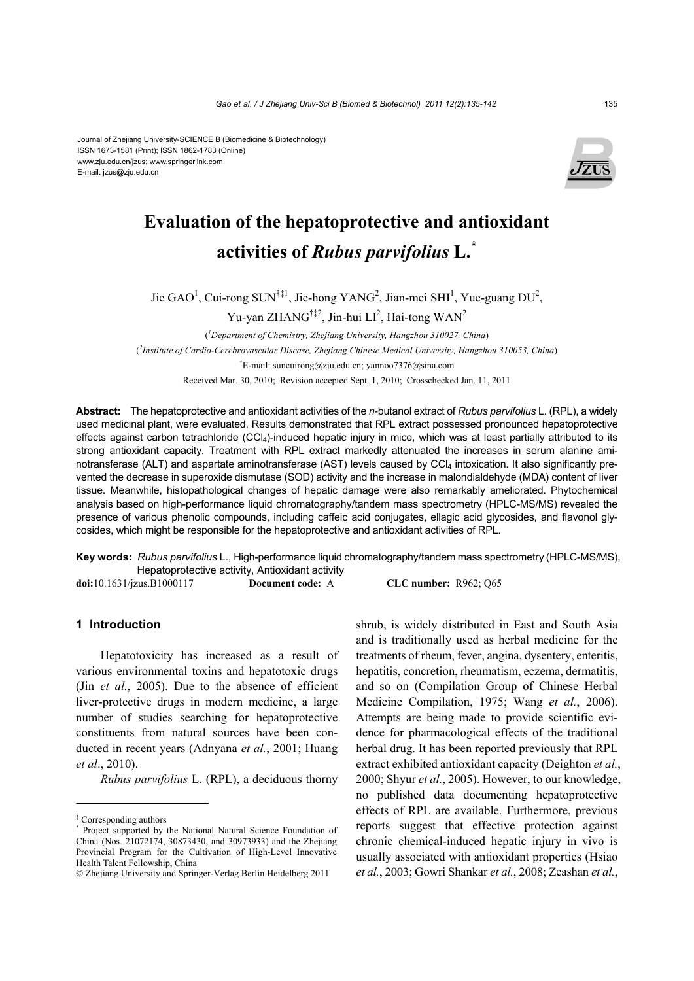Journal of Zhejiang University-SCIENCE B (Biomedicine & Biotechnology) ISSN 1673-1581 (Print); ISSN 1862-1783 (Online) www.zju.edu.cn/jzus; www.springerlink.com E-mail: jzus@zju.edu.cn



# **Evaluation of the hepatoprotective and antioxidant activities of** *Rubus parvifolius* **L.\***

Jie GAO<sup>1</sup>, Cui-rong SUN<sup>†‡1</sup>, Jie-hong YANG<sup>2</sup>, Jian-mei SHI<sup>1</sup>, Yue-guang DU<sup>2</sup>,

Yu-yan ZHANG<sup>†‡2</sup>, Jin-hui LI<sup>2</sup>, Hai-tong WAN<sup>2</sup>

( *1 Department of Chemistry, Zhejiang University, Hangzhou 310027, China*) ( *2 Institute of Cardio-Cerebrovascular Disease, Zhejiang Chinese Medical University, Hangzhou 310053, China*) † E-mail: suncuirong@zju.edu.cn; yannoo7376@sina.com Received Mar. 30, 2010; Revision accepted Sept. 1, 2010; Crosschecked Jan. 11, 2011

**Abstract:** The hepatoprotective and antioxidant activities of the *n*-butanol extract of *Rubus parvifolius* L. (RPL), a widely used medicinal plant, were evaluated. Results demonstrated that RPL extract possessed pronounced hepatoprotective effects against carbon tetrachloride  $(CCl<sub>4</sub>)$ -induced hepatic injury in mice, which was at least partially attributed to its strong antioxidant capacity. Treatment with RPL extract markedly attenuated the increases in serum alanine aminotransferase (ALT) and aspartate aminotransferase (AST) levels caused by CCl4 intoxication. It also significantly prevented the decrease in superoxide dismutase (SOD) activity and the increase in malondialdehyde (MDA) content of liver tissue. Meanwhile, histopathological changes of hepatic damage were also remarkably ameliorated. Phytochemical analysis based on high-performance liquid chromatography/tandem mass spectrometry (HPLC-MS/MS) revealed the presence of various phenolic compounds, including caffeic acid conjugates, ellagic acid glycosides, and flavonol glycosides, which might be responsible for the hepatoprotective and antioxidant activities of RPL.

**Key words:** *Rubus parvifolius* L., High-performance liquid chromatography/tandem mass spectrometry (HPLC-MS/MS), Hepatoprotective activity, Antioxidant activity

**doi:**10.1631/jzus.B1000117 **Document code:** A **CLC number:** R962; Q65

## **1 Introduction**

Hepatotoxicity has increased as a result of various environmental toxins and hepatotoxic drugs (Jin *et al.*, 2005). Due to the absence of efficient liver-protective drugs in modern medicine, a large number of studies searching for hepatoprotective constituents from natural sources have been conducted in recent years (Adnyana *et al.*, 2001; Huang *et al*., 2010).

*Rubus parvifolius* L. (RPL), a deciduous thorny

shrub, is widely distributed in East and South Asia and is traditionally used as herbal medicine for the treatments of rheum, fever, angina, dysentery, enteritis, hepatitis, concretion, rheumatism, eczema, dermatitis, and so on (Compilation Group of Chinese Herbal Medicine Compilation, 1975; Wang *et al.*, 2006). Attempts are being made to provide scientific evidence for pharmacological effects of the traditional herbal drug. It has been reported previously that RPL extract exhibited antioxidant capacity (Deighton *et al.*, 2000; Shyur *et al.*, 2005). However, to our knowledge, no published data documenting hepatoprotective effects of RPL are available. Furthermore, previous reports suggest that effective protection against chronic chemical-induced hepatic injury in vivo is usually associated with antioxidant properties (Hsiao *et al.*, 2003; Gowri Shankar *et al.*, 2008; Zeashan *et al.*,

<sup>‡</sup> Corresponding authors

<sup>\*</sup> Project supported by the National Natural Science Foundation of China (Nos. 21072174, 30873430, and 30973933) and the Zhejiang Provincial Program for the Cultivation of High-Level Innovative Health Talent Fellowship, China

<sup>©</sup> Zhejiang University and Springer-Verlag Berlin Heidelberg 2011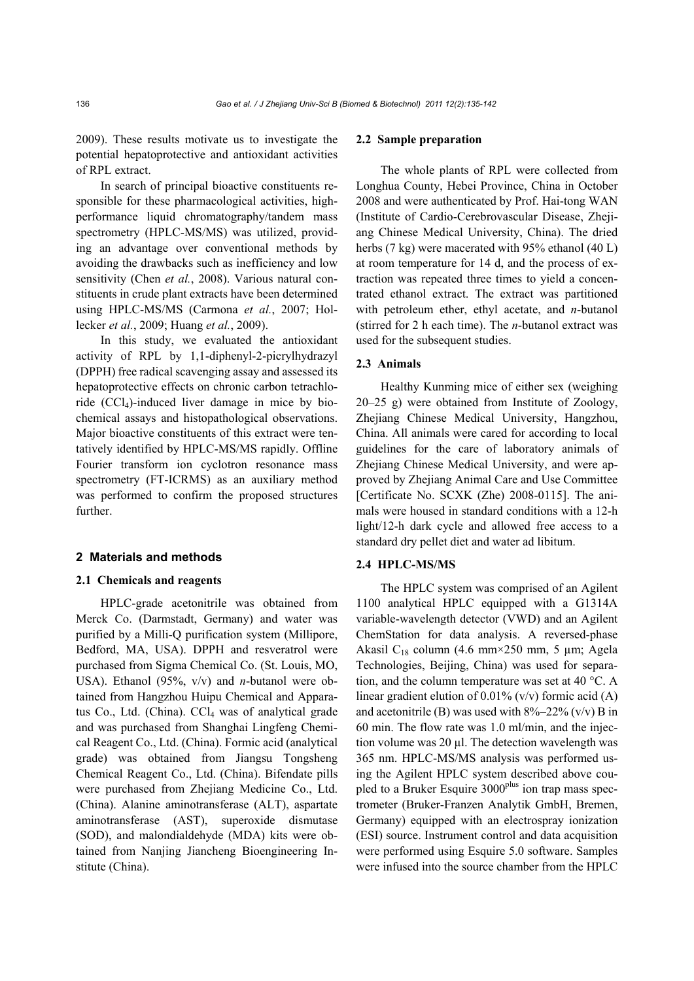2009). These results motivate us to investigate the potential hepatoprotective and antioxidant activities of RPL extract.

In search of principal bioactive constituents responsible for these pharmacological activities, highperformance liquid chromatography/tandem mass spectrometry (HPLC-MS/MS) was utilized, providing an advantage over conventional methods by avoiding the drawbacks such as inefficiency and low sensitivity (Chen *et al.*, 2008). Various natural constituents in crude plant extracts have been determined using HPLC-MS/MS (Carmona *et al.*, 2007; Hollecker *et al.*, 2009; Huang *et al.*, 2009).

In this study, we evaluated the antioxidant activity of RPL by 1,1-diphenyl-2-picrylhydrazyl (DPPH) free radical scavenging assay and assessed its hepatoprotective effects on chronic carbon tetrachloride (CCl4)-induced liver damage in mice by biochemical assays and histopathological observations. Major bioactive constituents of this extract were tentatively identified by HPLC-MS/MS rapidly. Offline Fourier transform ion cyclotron resonance mass spectrometry (FT-ICRMS) as an auxiliary method was performed to confirm the proposed structures further.

#### **2 Materials and methods**

#### **2.1 Chemicals and reagents**

HPLC-grade acetonitrile was obtained from Merck Co. (Darmstadt, Germany) and water was purified by a Milli-Q purification system (Millipore, Bedford, MA, USA). DPPH and resveratrol were purchased from Sigma Chemical Co. (St. Louis, MO, USA). Ethanol (95%, v/v) and *n*-butanol were obtained from Hangzhou Huipu Chemical and Apparatus Co., Ltd. (China).  $CCl<sub>4</sub>$  was of analytical grade and was purchased from Shanghai Lingfeng Chemical Reagent Co., Ltd. (China). Formic acid (analytical grade) was obtained from Jiangsu Tongsheng Chemical Reagent Co., Ltd. (China). Bifendate pills were purchased from Zhejiang Medicine Co., Ltd. (China). Alanine aminotransferase (ALT), aspartate aminotransferase (AST), superoxide dismutase (SOD), and malondialdehyde (MDA) kits were obtained from Nanjing Jiancheng Bioengineering Institute (China).

#### **2.2 Sample preparation**

The whole plants of RPL were collected from Longhua County, Hebei Province, China in October 2008 and were authenticated by Prof. Hai-tong WAN (Institute of Cardio-Cerebrovascular Disease, Zhejiang Chinese Medical University, China). The dried herbs (7 kg) were macerated with 95% ethanol (40 L) at room temperature for 14 d, and the process of extraction was repeated three times to yield a concentrated ethanol extract. The extract was partitioned with petroleum ether, ethyl acetate, and *n*-butanol (stirred for 2 h each time). The *n*-butanol extract was used for the subsequent studies.

#### **2.3 Animals**

Healthy Kunming mice of either sex (weighing 20–25 g) were obtained from Institute of Zoology, Zhejiang Chinese Medical University, Hangzhou, China. All animals were cared for according to local guidelines for the care of laboratory animals of Zhejiang Chinese Medical University, and were approved by Zhejiang Animal Care and Use Committee [Certificate No. SCXK (Zhe) 2008-0115]. The animals were housed in standard conditions with a 12-h light/12-h dark cycle and allowed free access to a standard dry pellet diet and water ad libitum.

#### **2.4 HPLC-MS/MS**

The HPLC system was comprised of an Agilent 1100 analytical HPLC equipped with a G1314A variable-wavelength detector (VWD) and an Agilent ChemStation for data analysis. A reversed-phase Akasil C<sub>18</sub> column (4.6 mm×250 mm, 5 µm; Agela Technologies, Beijing, China) was used for separation, and the column temperature was set at 40 °C. A linear gradient elution of  $0.01\%$  (v/v) formic acid (A) and acetonitrile (B) was used with  $8\frac{22\% (v/v)}{v}$  B in 60 min. The flow rate was 1.0 ml/min, and the injection volume was  $20 \mu$ . The detection wavelength was 365 nm. HPLC-MS/MS analysis was performed using the Agilent HPLC system described above coupled to a Bruker Esquire 3000<sup>plus</sup> ion trap mass spectrometer (Bruker-Franzen Analytik GmbH, Bremen, Germany) equipped with an electrospray ionization (ESI) source. Instrument control and data acquisition were performed using Esquire 5.0 software. Samples were infused into the source chamber from the HPLC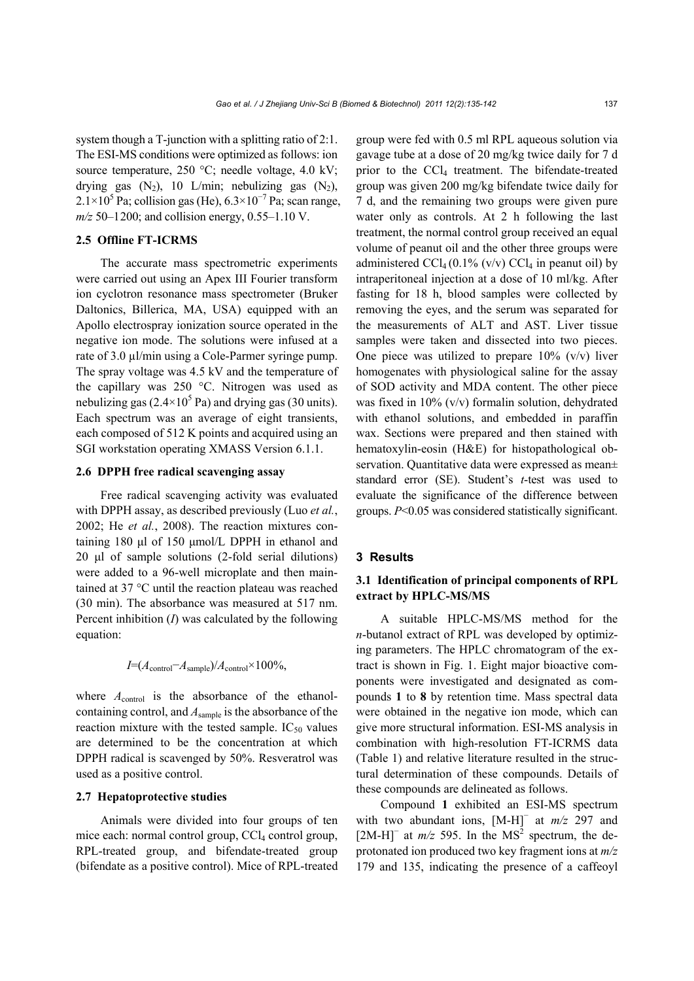system though a T-junction with a splitting ratio of 2:1. The ESI-MS conditions were optimized as follows: ion source temperature, 250 °C; needle voltage, 4.0 kV; drying gas  $(N_2)$ , 10 L/min; nebulizing gas  $(N_2)$ ,  $2.1 \times 10^5$  Pa; collision gas (He),  $6.3 \times 10^{-7}$  Pa; scan range, *m/z* 50–1200; and collision energy, 0.55–1.10 V.

# **2.5 Offline FT-ICRMS**

The accurate mass spectrometric experiments were carried out using an Apex III Fourier transform ion cyclotron resonance mass spectrometer (Bruker Daltonics, Billerica, MA, USA) equipped with an Apollo electrospray ionization source operated in the negative ion mode. The solutions were infused at a rate of 3.0 µl/min using a Cole-Parmer syringe pump. The spray voltage was 4.5 kV and the temperature of the capillary was 250 °C. Nitrogen was used as nebulizing gas  $(2.4 \times 10^5 \text{ Pa})$  and drying gas (30 units). Each spectrum was an average of eight transients, each composed of 512 K points and acquired using an SGI workstation operating XMASS Version 6.1.1.

#### **2.6 DPPH free radical scavenging assay**

Free radical scavenging activity was evaluated with DPPH assay, as described previously (Luo *et al.*, 2002; He *et al.*, 2008). The reaction mixtures containing 180 μl of 150 μmol/L DPPH in ethanol and 20 μl of sample solutions (2-fold serial dilutions) were added to a 96-well microplate and then maintained at 37 °C until the reaction plateau was reached (30 min). The absorbance was measured at 517 nm. Percent inhibition (*I*) was calculated by the following equation:

$$
I=(A_{\text{control}}-A_{\text{sample}})/A_{\text{control}} \times 100\%,
$$

where  $A_{control}$  is the absorbance of the ethanolcontaining control, and *A*sample is the absorbance of the reaction mixture with the tested sample.  $IC_{50}$  values are determined to be the concentration at which DPPH radical is scavenged by 50%. Resveratrol was used as a positive control.

## **2.7 Hepatoprotective studies**

Animals were divided into four groups of ten mice each: normal control group,  $CCl<sub>4</sub>$  control group, RPL-treated group, and bifendate-treated group (bifendate as a positive control). Mice of RPL-treated group were fed with 0.5 ml RPL aqueous solution via gavage tube at a dose of 20 mg/kg twice daily for 7 d prior to the CCl4 treatment. The bifendate-treated group was given 200 mg/kg bifendate twice daily for 7 d, and the remaining two groups were given pure water only as controls. At 2 h following the last treatment, the normal control group received an equal volume of peanut oil and the other three groups were administered  $\text{CCl}_4(0.1\% \text{ (v/v)} \text{ CCl}_4 \text{ in } \text{peanut oil})$  by intraperitoneal injection at a dose of 10 ml/kg. After fasting for 18 h, blood samples were collected by removing the eyes, and the serum was separated for the measurements of ALT and AST. Liver tissue samples were taken and dissected into two pieces. One piece was utilized to prepare  $10\%$  (v/v) liver homogenates with physiological saline for the assay of SOD activity and MDA content. The other piece was fixed in 10% (v/v) formalin solution, dehydrated with ethanol solutions, and embedded in paraffin wax. Sections were prepared and then stained with hematoxylin-eosin (H&E) for histopathological observation. Quantitative data were expressed as mean± standard error (SE). Student's *t*-test was used to evaluate the significance of the difference between groups. *P*<0.05 was considered statistically significant.

## **3 Results**

# **3.1 Identification of principal components of RPL extract by HPLC-MS/MS**

A suitable HPLC-MS/MS method for the *n*-butanol extract of RPL was developed by optimizing parameters. The HPLC chromatogram of the extract is shown in Fig. 1. Eight major bioactive components were investigated and designated as compounds **1** to **8** by retention time. Mass spectral data were obtained in the negative ion mode, which can give more structural information. ESI-MS analysis in combination with high-resolution FT-ICRMS data (Table 1) and relative literature resulted in the structural determination of these compounds. Details of these compounds are delineated as follows.

Compound **1** exhibited an ESI-MS spectrum with two abundant ions, [M-H]<sup>−</sup> at *m/z* 297 and [2M-H]<sup>−</sup> at  $m/z$  595. In the MS<sup>2</sup> spectrum, the deprotonated ion produced two key fragment ions at *m/z* 179 and 135, indicating the presence of a caffeoyl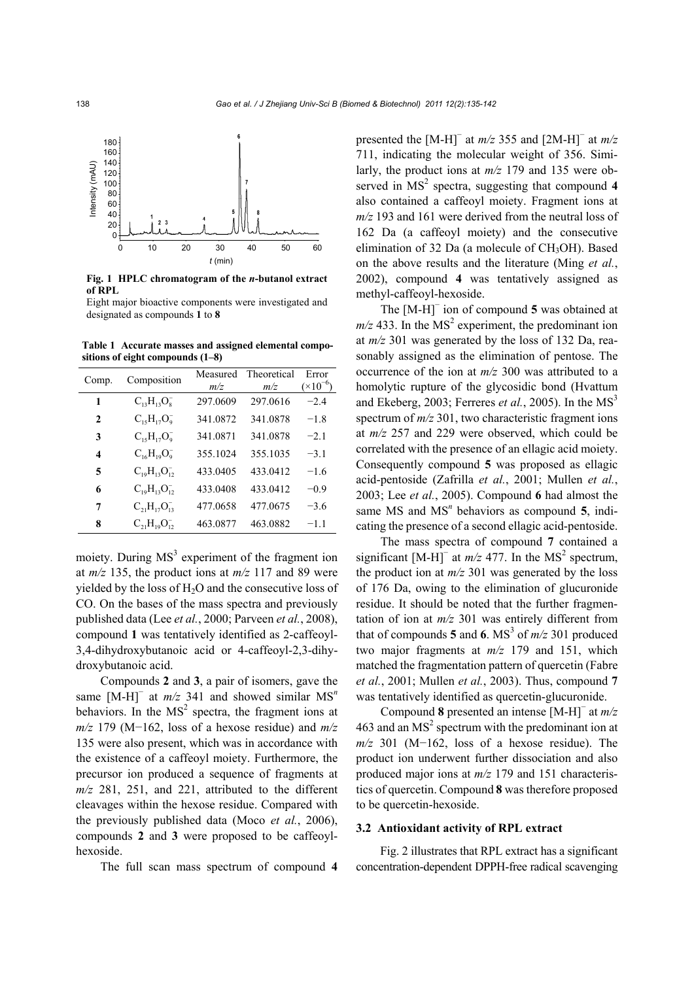

**Fig. 1 HPLC chromatogram of the** *n***-butanol extract of RPL** 

Eight major bioactive components were investigated and designated as compounds **1** to **8**

**Table 1 Accurate masses and assigned elemental compositions of eight compounds (1–8)** 

| Comp.        | Composition            | Measured<br>m/z | Theoretical<br>m/z | Error<br>$(\times 10^{-6})$ |
|--------------|------------------------|-----------------|--------------------|-----------------------------|
| 1            | $C_{13}H_{13}O_8^-$    | 297.0609        | 297.0616           | $-2.4$                      |
| $\mathbf{2}$ | $C_{15}H_{17}O_9^-$    | 341.0872        | 341.0878           | $-1.8$                      |
| 3            | $C_{15}H_{17}O_9^-$    | 341.0871        | 341.0878           | $-2.1$                      |
| 4            | $C_{16}H_{19}O_9^-$    | 355.1024        | 355.1035           | $-3.1$                      |
| 5            | $C_{19}H_{13}O_{12}^-$ | 433.0405        | 433.0412           | $-16$                       |
| 6            | $C_{19}H_{13}O_{12}^-$ | 433.0408        | 433.0412           | $-0.9$                      |
| 7            | $C_{21}H_{17}O_{13}^-$ | 477.0658        | 477.0675           | $-3.6$                      |
| 8            | $C_{21}H_{19}O_{12}^-$ | 463.0877        | 463.0882           | $-11$                       |

moiety. During  $MS<sup>3</sup>$  experiment of the fragment ion at  $m/z$  135, the product ions at  $m/z$  117 and 89 were yielded by the loss of  $H_2O$  and the consecutive loss of CO. On the bases of the mass spectra and previously published data (Lee *et al.*, 2000; Parveen *et al.*, 2008), compound **1** was tentatively identified as 2-caffeoyl-3,4-dihydroxybutanoic acid or 4-caffeoyl-2,3-dihydroxybutanoic acid.

Compounds **2** and **3**, a pair of isomers, gave the same [M-H]<sup>−</sup> at *m/z* 341 and showed similar MS<sup>n</sup> behaviors. In the  $MS<sup>2</sup>$  spectra, the fragment ions at *m/z* 179 (M−162, loss of a hexose residue) and *m/z* 135 were also present, which was in accordance with the existence of a caffeoyl moiety. Furthermore, the precursor ion produced a sequence of fragments at *m/z* 281, 251, and 221, attributed to the different cleavages within the hexose residue. Compared with the previously published data (Moco *et al.*, 2006), compounds **2** and **3** were proposed to be caffeoylhexoside.

The full scan mass spectrum of compound **4**

presented the  $[M-H]$ <sup>−</sup> at  $m/z$  355 and  $[2M-H]$ <sup>−</sup> at  $m/z$ 711, indicating the molecular weight of 356. Similarly, the product ions at *m/z* 179 and 135 were observed in  $MS<sup>2</sup>$  spectra, suggesting that compound 4 also contained a caffeoyl moiety. Fragment ions at *m/z* 193 and 161 were derived from the neutral loss of 162 Da (a caffeoyl moiety) and the consecutive elimination of 32 Da (a molecule of  $CH<sub>3</sub>OH$ ). Based on the above results and the literature (Ming *et al.*, 2002), compound **4** was tentatively assigned as methyl-caffeoyl-hexoside.

The [M-H]<sup>−</sup> ion of compound **5** was obtained at  $m/z$  433. In the MS<sup>2</sup> experiment, the predominant ion at *m/z* 301 was generated by the loss of 132 Da, reasonably assigned as the elimination of pentose. The occurrence of the ion at *m/z* 300 was attributed to a homolytic rupture of the glycosidic bond (Hvattum and Ekeberg, 2003; Ferreres *et al.*, 2005). In the  $MS<sup>3</sup>$ spectrum of *m/z* 301, two characteristic fragment ions at *m/z* 257 and 229 were observed, which could be correlated with the presence of an ellagic acid moiety. Consequently compound **5** was proposed as ellagic acid-pentoside (Zafrilla *et al.*, 2001; Mullen *et al.*, 2003; Lee *et al.*, 2005). Compound **6** had almost the same MS and MS<sup>*n*</sup> behaviors as compound 5, indicating the presence of a second ellagic acid-pentoside.

The mass spectra of compound **7** contained a significant  $[M-H]$ <sup>-</sup> at *m/z* 477. In the MS<sup>2</sup> spectrum, the product ion at  $m/z$  301 was generated by the loss of 176 Da, owing to the elimination of glucuronide residue. It should be noted that the further fragmentation of ion at *m/z* 301 was entirely different from that of compounds **5** and **6**. MS<sup>3</sup> of  $m/z$  301 produced two major fragments at *m/z* 179 and 151, which matched the fragmentation pattern of quercetin (Fabre *et al.*, 2001; Mullen *et al.*, 2003). Thus, compound **7** was tentatively identified as quercetin-glucuronide.

Compound **8** presented an intense [M-H]<sup>−</sup> at *m/z* 463 and an  $MS<sup>2</sup>$  spectrum with the predominant ion at *m/z* 301 (M−162, loss of a hexose residue). The product ion underwent further dissociation and also produced major ions at *m/z* 179 and 151 characteristics of quercetin. Compound **8** was therefore proposed to be quercetin-hexoside.

#### **3.2 Antioxidant activity of RPL extract**

Fig. 2 illustrates that RPL extract has a significant concentration-dependent DPPH-free radical scavenging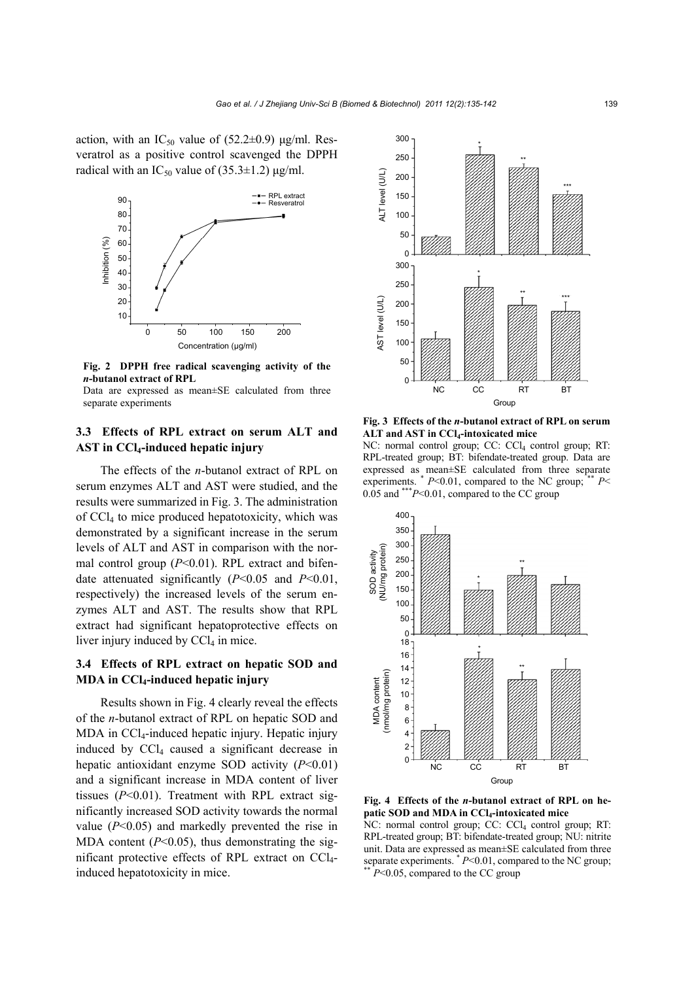action, with an  $IC_{50}$  value of (52.2 $\pm$ 0.9) μg/ml. Resveratrol as a positive control scavenged the DPPH radical with an IC<sub>50</sub> value of  $(35.3\pm1.2)$  μg/ml.



**Fig. 2 DPPH free radical scavenging activity of the**  *n***-butanol extract of RPL** 

Data are expressed as mean±SE calculated from three separate experiments

# **3.3 Effects of RPL extract on serum ALT and AST in CCl4-induced hepatic injury**

The effects of the *n*-butanol extract of RPL on serum enzymes ALT and AST were studied, and the results were summarized in Fig. 3. The administration of CCl4 to mice produced hepatotoxicity, which was demonstrated by a significant increase in the serum levels of ALT and AST in comparison with the normal control group (*P*<0.01). RPL extract and bifendate attenuated significantly (*P*<0.05 and *P*<0.01, respectively) the increased levels of the serum enzymes ALT and AST. The results show that RPL extract had significant hepatoprotective effects on liver injury induced by  $CCl<sub>4</sub>$  in mice.

# **3.4 Effects of RPL extract on hepatic SOD and MDA in CCl4-induced hepatic injury**

Results shown in Fig. 4 clearly reveal the effects of the *n*-butanol extract of RPL on hepatic SOD and MDA in CCl<sub>4</sub>-induced hepatic injury. Hepatic injury induced by  $CCl<sub>4</sub>$  caused a significant decrease in hepatic antioxidant enzyme SOD activity (*P*<0.01) and a significant increase in MDA content of liver tissues (*P*<0.01). Treatment with RPL extract significantly increased SOD activity towards the normal value (*P*<0.05) and markedly prevented the rise in MDA content  $(P<0.05)$ , thus demonstrating the significant protective effects of RPL extract on CCl4 induced hepatotoxicity in mice.



**Fig. 3 Effects of the** *n***-butanol extract of RPL on serum ALT and AST in CCl4-intoxicated mice** 

NC: normal control group; CC: CCl<sub>4</sub> control group; RT: RPL-treated group; BT: bifendate-treated group. Data are expressed as mean±SE calculated from three separate experiments. \*  $P<0.01$ , compared to the NC group; \*\*  $P<$ 0.05 and \*\*\**P*<0.01, compared to the CC group



**Fig. 4 Effects of the** *n***-butanol extract of RPL on hepatic SOD and MDA in CCl4-intoxicated mice**  NC: normal control group; CC: CCl<sub>4</sub> control group; RT:

RPL-treated group; BT: bifendate-treated group; NU: nitrite unit. Data are expressed as mean±SE calculated from three separate experiments. \* *<sup>P</sup>*<0.01, compared to the NC group; \*\* *P*<0.05, compared to the CC group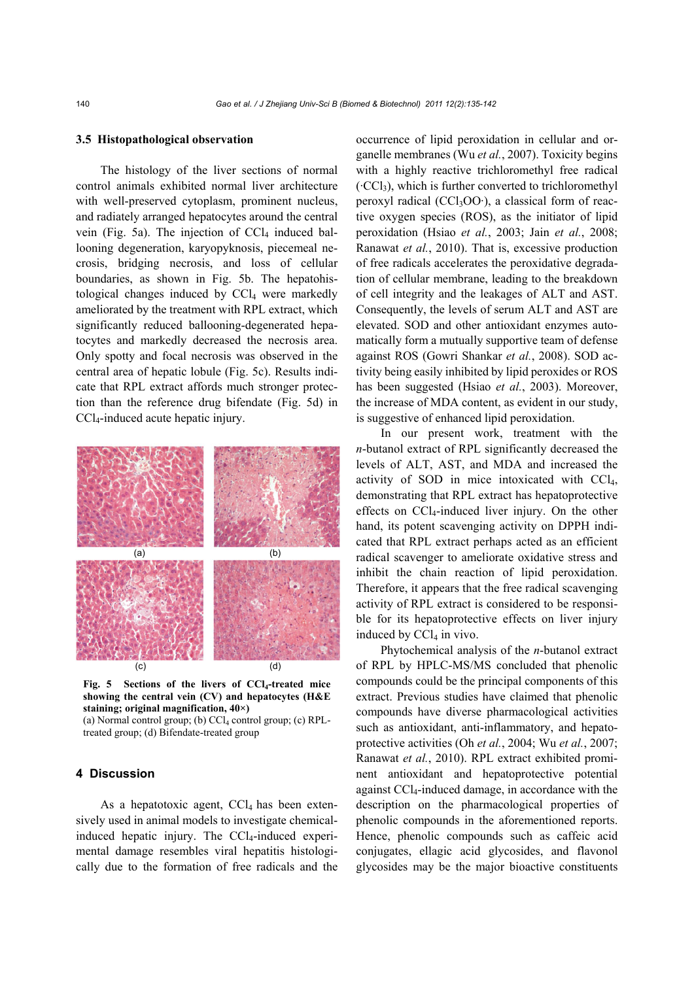#### **3.5 Histopathological observation**

The histology of the liver sections of normal control animals exhibited normal liver architecture with well-preserved cytoplasm, prominent nucleus, and radiately arranged hepatocytes around the central vein (Fig. 5a). The injection of  $CCl<sub>4</sub>$  induced ballooning degeneration, karyopyknosis, piecemeal necrosis, bridging necrosis, and loss of cellular boundaries, as shown in Fig. 5b. The hepatohistological changes induced by  $CCl<sub>4</sub>$  were markedly ameliorated by the treatment with RPL extract, which significantly reduced ballooning-degenerated hepatocytes and markedly decreased the necrosis area. Only spotty and focal necrosis was observed in the central area of hepatic lobule (Fig. 5c). Results indicate that RPL extract affords much stronger protection than the reference drug bifendate (Fig. 5d) in CCl4-induced acute hepatic injury.



Fig. 5 Sections of the livers of CCl<sub>4</sub>-treated mice **showing the central vein (CV) and hepatocytes (H&E staining; original magnification, 40×)**  (a) Normal control group; (b) CCl<sub>4</sub> control group; (c) RPL-

treated group; (d) Bifendate-treated group

## **4 Discussion**

As a hepatotoxic agent,  $CCl<sub>4</sub>$  has been extensively used in animal models to investigate chemicalinduced hepatic injury. The  $CCl_4$ -induced experimental damage resembles viral hepatitis histologically due to the formation of free radicals and the occurrence of lipid peroxidation in cellular and organelle membranes (Wu *et al.*, 2007). Toxicity begins with a highly reactive trichloromethyl free radical  $({}^{c}CCl_3)$ , which is further converted to trichloromethyl peroxyl radical (CCl<sub>3</sub>OO·), a classical form of reactive oxygen species (ROS), as the initiator of lipid peroxidation (Hsiao *et al.*, 2003; Jain *et al.*, 2008; Ranawat *et al.*, 2010). That is, excessive production of free radicals accelerates the peroxidative degradation of cellular membrane, leading to the breakdown of cell integrity and the leakages of ALT and AST. Consequently, the levels of serum ALT and AST are elevated. SOD and other antioxidant enzymes automatically form a mutually supportive team of defense against ROS (Gowri Shankar *et al.*, 2008). SOD activity being easily inhibited by lipid peroxides or ROS has been suggested (Hsiao *et al.*, 2003). Moreover, the increase of MDA content, as evident in our study, is suggestive of enhanced lipid peroxidation.

In our present work, treatment with the *n*-butanol extract of RPL significantly decreased the levels of ALT, AST, and MDA and increased the activity of SOD in mice intoxicated with CCl4, demonstrating that RPL extract has hepatoprotective effects on CCl4-induced liver injury. On the other hand, its potent scavenging activity on DPPH indicated that RPL extract perhaps acted as an efficient radical scavenger to ameliorate oxidative stress and inhibit the chain reaction of lipid peroxidation. Therefore, it appears that the free radical scavenging activity of RPL extract is considered to be responsible for its hepatoprotective effects on liver injury induced by  $CCl<sub>4</sub>$  in vivo.

Phytochemical analysis of the *n*-butanol extract of RPL by HPLC-MS/MS concluded that phenolic compounds could be the principal components of this extract. Previous studies have claimed that phenolic compounds have diverse pharmacological activities such as antioxidant, anti-inflammatory, and hepatoprotective activities (Oh *et al.*, 2004; Wu *et al.*, 2007; Ranawat *et al.*, 2010). RPL extract exhibited prominent antioxidant and hepatoprotective potential against CCl4-induced damage, in accordance with the description on the pharmacological properties of phenolic compounds in the aforementioned reports. Hence, phenolic compounds such as caffeic acid conjugates, ellagic acid glycosides, and flavonol glycosides may be the major bioactive constituents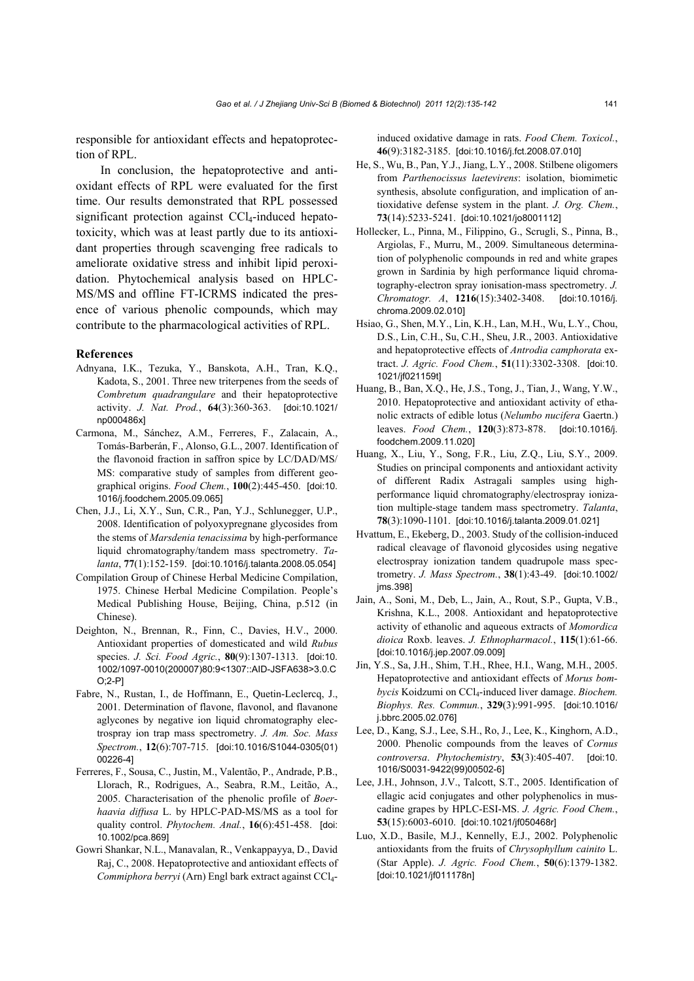responsible for antioxidant effects and hepatoprotection of RPL.

In conclusion, the hepatoprotective and antioxidant effects of RPL were evaluated for the first time. Our results demonstrated that RPL possessed significant protection against CCl<sub>4</sub>-induced hepatotoxicity, which was at least partly due to its antioxidant properties through scavenging free radicals to ameliorate oxidative stress and inhibit lipid peroxidation. Phytochemical analysis based on HPLC-MS/MS and offline FT-ICRMS indicated the presence of various phenolic compounds, which may contribute to the pharmacological activities of RPL.

## **References**

- Adnyana, I.K., Tezuka, Y., Banskota, A.H., Tran, K.Q., Kadota, S., 2001. Three new triterpenes from the seeds of *Combretum quadrangulare* and their hepatoprotective activity. *J. Nat. Prod.*, **64**(3):360-363. [doi:10.1021/ np000486x]
- Carmona, M., Sánchez, A.M., Ferreres, F., Zalacain, A., Tomás-Barberán, F., Alonso, G.L., 2007. Identification of the flavonoid fraction in saffron spice by LC/DAD/MS/ MS: comparative study of samples from different geographical origins. *Food Chem.*, **100**(2):445-450. [doi:10. 1016/j.foodchem.2005.09.065]
- Chen, J.J., Li, X.Y., Sun, C.R., Pan, Y.J., Schlunegger, U.P., 2008. Identification of polyoxypregnane glycosides from the stems of *Marsdenia tenacissima* by high-performance liquid chromatography/tandem mass spectrometry. *Talanta*, **77**(1):152-159. [doi:10.1016/j.talanta.2008.05.054]
- Compilation Group of Chinese Herbal Medicine Compilation, 1975. Chinese Herbal Medicine Compilation. People's Medical Publishing House, Beijing, China, p.512 (in Chinese).
- Deighton, N., Brennan, R., Finn, C., Davies, H.V., 2000. Antioxidant properties of domesticated and wild *Rubus* species. *J. Sci. Food Agric.*, **80**(9):1307-1313. [doi:10. 1002/1097-0010(200007)80:9<1307::AID-JSFA638>3.0.C O;2-P]
- Fabre, N., Rustan, I., de Hoffmann, E., Quetin-Leclercq, J., 2001. Determination of flavone, flavonol, and flavanone aglycones by negative ion liquid chromatography electrospray ion trap mass spectrometry. *J. Am. Soc. Mass Spectrom.*, **12**(6):707-715. [doi:10.1016/S1044-0305(01) 00226-4]
- Ferreres, F., Sousa, C., Justin, M., Valentão, P., Andrade, P.B., Llorach, R., Rodrigues, A., Seabra, R.M., Leitão, A., 2005. Characterisation of the phenolic profile of *Boerhaavia diffusa* L. by HPLC-PAD-MS/MS as a tool for quality control. *Phytochem. Anal.*, **16**(6):451-458. [doi: 10.1002/pca.869]
- Gowri Shankar, N.L., Manavalan, R., Venkappayya, D., David Raj, C., 2008. Hepatoprotective and antioxidant effects of *Commiphora berryi* (Arn) Engl bark extract against CCl4-

induced oxidative damage in rats. *Food Chem. Toxicol.*, **46**(9):3182-3185. [doi:10.1016/j.fct.2008.07.010]

- He, S., Wu, B., Pan, Y.J., Jiang, L.Y., 2008. Stilbene oligomers from *Parthenocissus laetevirens*: isolation, biomimetic synthesis, absolute configuration, and implication of antioxidative defense system in the plant. *J. Org. Chem.*, **73**(14):5233-5241. [doi:10.1021/jo8001112]
- Hollecker, L., Pinna, M., Filippino, G., Scrugli, S., Pinna, B., Argiolas, F., Murru, M., 2009. Simultaneous determination of polyphenolic compounds in red and white grapes grown in Sardinia by high performance liquid chromatography-electron spray ionisation-mass spectrometry. *J. Chromatogr. A*, **1216**(15):3402-3408. [doi:10.1016/j. chroma.2009.02.010]
- Hsiao, G., Shen, M.Y., Lin, K.H., Lan, M.H., Wu, L.Y., Chou, D.S., Lin, C.H., Su, C.H., Sheu, J.R., 2003. Antioxidative and hepatoprotective effects of *Antrodia camphorata* extract. *J. Agric. Food Chem.*, **51**(11):3302-3308. [doi:10. 1021/jf021159t]
- Huang, B., Ban, X.Q., He, J.S., Tong, J., Tian, J., Wang, Y.W., 2010. Hepatoprotective and antioxidant activity of ethanolic extracts of edible lotus (*Nelumbo nucifera* Gaertn.) leaves. *Food Chem.*, **120**(3):873-878. [doi:10.1016/j. foodchem.2009.11.020]
- Huang, X., Liu, Y., Song, F.R., Liu, Z.Q., Liu, S.Y., 2009. Studies on principal components and antioxidant activity of different Radix Astragali samples using highperformance liquid chromatography/electrospray ionization multiple-stage tandem mass spectrometry. *Talanta*, **78**(3):1090-1101. [doi:10.1016/j.talanta.2009.01.021]
- Hvattum, E., Ekeberg, D., 2003. Study of the collision-induced radical cleavage of flavonoid glycosides using negative electrospray ionization tandem quadrupole mass spectrometry. *J. Mass Spectrom.*, **38**(1):43-49. [doi:10.1002/ jms.398]
- Jain, A., Soni, M., Deb, L., Jain, A., Rout, S.P., Gupta, V.B., Krishna, K.L., 2008. Antioxidant and hepatoprotective activity of ethanolic and aqueous extracts of *Momordica dioica* Roxb. leaves. *J. Ethnopharmacol.*, **115**(1):61-66. [doi:10.1016/j.jep.2007.09.009]
- Jin, Y.S., Sa, J.H., Shim, T.H., Rhee, H.I., Wang, M.H., 2005. Hepatoprotective and antioxidant effects of *Morus bombycis* Koidzumi on CCl4-induced liver damage. *Biochem. Biophys. Res. Commun.*, **329**(3):991-995. [doi:10.1016/ j.bbrc.2005.02.076]
- Lee, D., Kang, S.J., Lee, S.H., Ro, J., Lee, K., Kinghorn, A.D., 2000. Phenolic compounds from the leaves of *Cornus controversa*. *Phytochemistry*, **53**(3):405-407. [doi:10. 1016/S0031-9422(99)00502-6]
- Lee, J.H., Johnson, J.V., Talcott, S.T., 2005. Identification of ellagic acid conjugates and other polyphenolics in muscadine grapes by HPLC-ESI-MS. *J. Agric. Food Chem.*, **53**(15):6003-6010. [doi:10.1021/jf050468r]
- Luo, X.D., Basile, M.J., Kennelly, E.J., 2002. Polyphenolic antioxidants from the fruits of *Chrysophyllum cainito* L. (Star Apple). *J. Agric. Food Chem.*, **50**(6):1379-1382. [doi:10.1021/jf011178n]